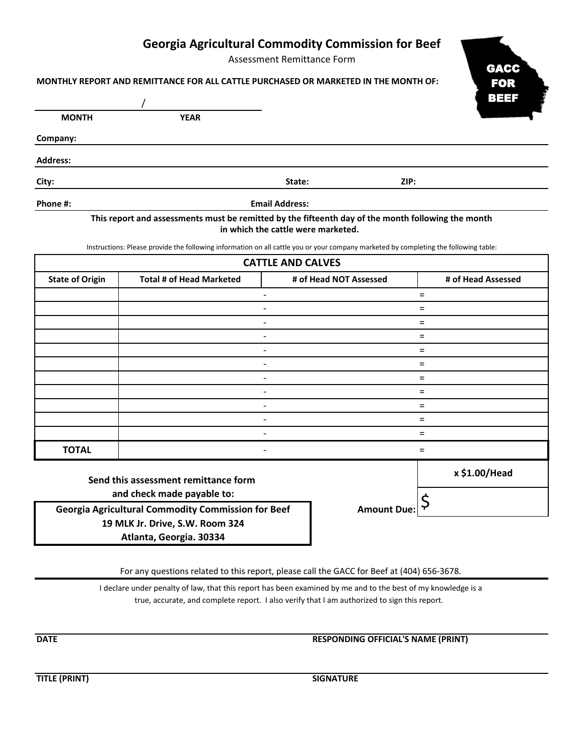## **Georgia Agricultural Commodity Commission for Beef**

Assessment Remittance Form



| MONTHLY REPORT AND REMITTANCE FOR ALL CATTLE PURCHASED OR MARKETED IN THE MONTH OF: |  |  |
|-------------------------------------------------------------------------------------|--|--|
|                                                                                     |  |  |

|                 |             |                                                                                                                                                                                                                                |      | BEEF |
|-----------------|-------------|--------------------------------------------------------------------------------------------------------------------------------------------------------------------------------------------------------------------------------|------|------|
| <b>MONTH</b>    | <b>YEAR</b> |                                                                                                                                                                                                                                |      |      |
| Company:        |             |                                                                                                                                                                                                                                |      |      |
| <b>Address:</b> |             |                                                                                                                                                                                                                                |      |      |
| City:           |             | State:                                                                                                                                                                                                                         | ZIP: |      |
| Phone #:        |             | <b>Email Address:</b>                                                                                                                                                                                                          |      |      |
|                 |             | which is a contract of the second and the contract of the contract of the contract of the contract of the contract of the contract of the contract of the contract of the contract of the contract of the contract of the cont |      |      |

## **This report and assessments must be remitted by the fifteenth day of the month following the month in which the cattle were marketed.**

Instructions: Please provide the following information on all cattle you or your company marketed by completing the following table:

| <b>CATTLE AND CALVES</b> |                                 |                        |                    |  |  |
|--------------------------|---------------------------------|------------------------|--------------------|--|--|
| <b>State of Origin</b>   | <b>Total # of Head Marketed</b> | # of Head NOT Assessed | # of Head Assessed |  |  |
|                          |                                 |                        | $=$                |  |  |
|                          |                                 |                        | $\equiv$           |  |  |
|                          | $\qquad \qquad$                 |                        | $=$                |  |  |
|                          |                                 |                        | $=$                |  |  |
|                          |                                 |                        | $=$                |  |  |
|                          | $\qquad \qquad$                 |                        | $=$                |  |  |
|                          |                                 |                        | $=$                |  |  |
|                          | -                               |                        | $=$                |  |  |
|                          | $\overline{\phantom{0}}$        |                        | $=$                |  |  |
|                          |                                 |                        | $=$                |  |  |
|                          |                                 |                        | $=$                |  |  |
| <b>TOTAL</b>             | $\overline{\phantom{a}}$        |                        | $=$                |  |  |
|                          | the contract of the contract of |                        | x \$1.00/Head      |  |  |

**Send this assessment remittance form and check made payable to:** and check made payable to:<br>**Georgia Agricultural Commodity Commission for Beef Amount Due:** \$

**19 MLK Jr. Drive, S.W. Room 324 Atlanta, Georgia. 30334**

For any questions related to this report, please call the GACC for Beef at (404) 656-3678.

true, accurate, and complete report. I also verify that I am authorized to sign this report. I declare under penalty of law, that this report has been examined by me and to the best of my knowledge is a

**DATE RESPONDING OFFICIAL'S NAME (PRINT)** 

**TITLE (PRINT) SIGNATURE**